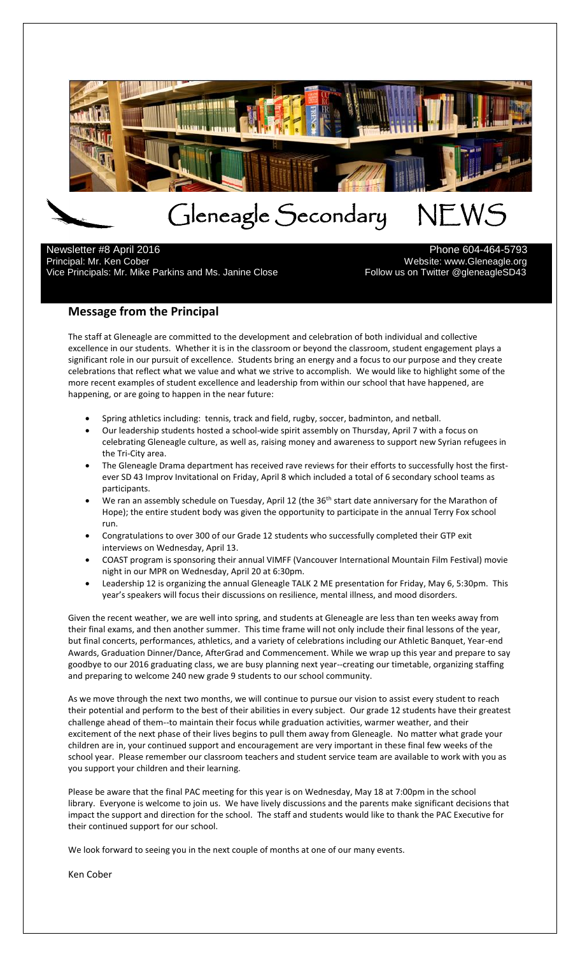

 Newsletter #8 April 2016 **Phone 604-464-5793** Principal: Mr. Ken Cober<br>13 Vebsite: www.Gleneagle.org<br>13 Follow us on Twitter @gleneagleSD43 Vice Principals: Mr. Mike Parkins and Ms. Janine Close

## **Message from the Principal**

The staff at Gleneagle are committed to the development and celebration of both individual and collective excellence in our students. Whether it is in the classroom or beyond the classroom, student engagement plays a significant role in our pursuit of excellence. Students bring an energy and a focus to our purpose and they create celebrations that reflect what we value and what we strive to accomplish. We would like to highlight some of the more recent examples of student excellence and leadership from within our school that have happened, are happening, or are going to happen in the near future:

- Spring athletics including: tennis, track and field, rugby, soccer, badminton, and netball.
- Our leadership students hosted a school-wide spirit assembly on Thursday, April 7 with a focus on celebrating Gleneagle culture, as well as, raising money and awareness to support new Syrian refugees in the Tri-City area.
- The Gleneagle Drama department has received rave reviews for their efforts to successfully host the firstever SD 43 Improv Invitational on Friday, April 8 which included a total of 6 secondary school teams as participants.
- We ran an assembly schedule on Tuesday, April 12 (the 36<sup>th</sup> start date anniversary for the Marathon of Hope); the entire student body was given the opportunity to participate in the annual Terry Fox school run.
- Congratulations to over 300 of our Grade 12 students who successfully completed their GTP exit interviews on Wednesday, April 13.
- COAST program is sponsoring their annual VIMFF (Vancouver International Mountain Film Festival) movie night in our MPR on Wednesday, April 20 at 6:30pm.
- Leadership 12 is organizing the annual Gleneagle TALK 2 ME presentation for Friday, May 6, 5:30pm. This year's speakers will focus their discussions on resilience, mental illness, and mood disorders.

Given the recent weather, we are well into spring, and students at Gleneagle are less than ten weeks away from their final exams, and then another summer. This time frame will not only include their final lessons of the year, but final concerts, performances, athletics, and a variety of celebrations including our Athletic Banquet, Year-end Awards, Graduation Dinner/Dance, AfterGrad and Commencement. While we wrap up this year and prepare to say goodbye to our 2016 graduating class, we are busy planning next year--creating our timetable, organizing staffing and preparing to welcome 240 new grade 9 students to our school community.

As we move through the next two months, we will continue to pursue our vision to assist every student to reach their potential and perform to the best of their abilities in every subject. Our grade 12 students have their greatest challenge ahead of them--to maintain their focus while graduation activities, warmer weather, and their excitement of the next phase of their lives begins to pull them away from Gleneagle. No matter what grade your children are in, your continued support and encouragement are very important in these final few weeks of the school year. Please remember our classroom teachers and student service team are available to work with you as you support your children and their learning.

Please be aware that the final PAC meeting for this year is on Wednesday, May 18 at 7:00pm in the school library. Everyone is welcome to join us. We have lively discussions and the parents make significant decisions that impact the support and direction for the school. The staff and students would like to thank the PAC Executive for their continued support for our school.

We look forward to seeing you in the next couple of months at one of our many events.

Ken Cober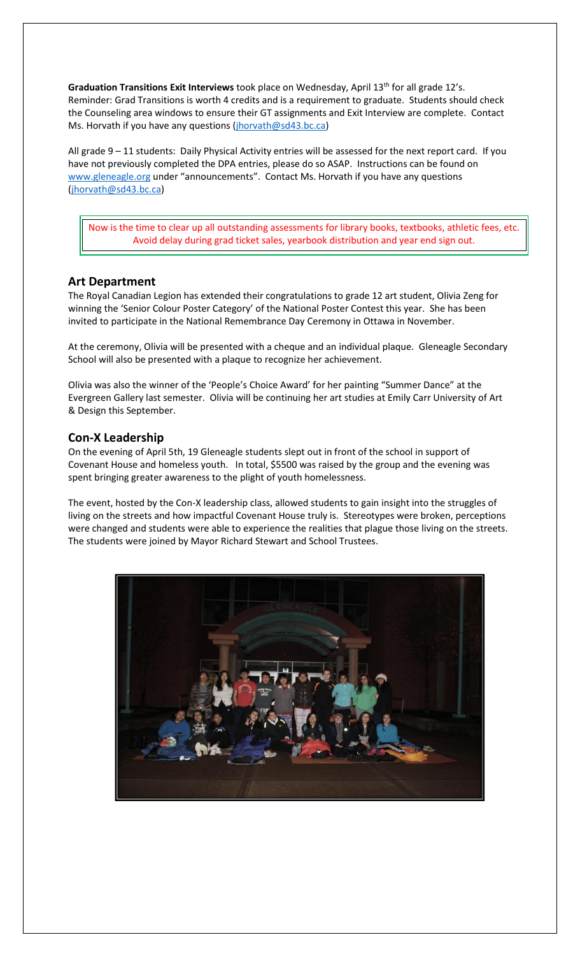Graduation Transitions Exit Interviews took place on Wednesday, April 13<sup>th</sup> for all grade 12's. Reminder: Grad Transitions is worth 4 credits and is a requirement to graduate. Students should check the Counseling area windows to ensure their GT assignments and Exit Interview are complete. Contact Ms. Horvath if you have any questions [\(jhorvath@sd43.bc.ca\)](mailto:jhorvath@sd43.bc.ca)

All grade 9 – 11 students: Daily Physical Activity entries will be assessed for the next report card. If you have not previously completed the DPA entries, please do so ASAP. Instructions can be found on [www.gleneagle.org](http://www.gleneagle.org/) under "announcements". Contact Ms. Horvath if you have any questions [\(jhorvath@sd43.bc.ca\)](mailto:jhorvath@sd43.bc.ca)

Now is the time to clear up all outstanding assessments for library books, textbooks, athletic fees, etc. Avoid delay during grad ticket sales, yearbook distribution and year end sign out.

## **Art Department**

The Royal Canadian Legion has extended their congratulations to grade 12 art student, Olivia Zeng for winning the 'Senior Colour Poster Category' of the National Poster Contest this year. She has been invited to participate in the National Remembrance Day Ceremony in Ottawa in November.

At the ceremony, Olivia will be presented with a cheque and an individual plaque. Gleneagle Secondary School will also be presented with a plaque to recognize her achievement.

Olivia was also the winner of the 'People's Choice Award' for her painting "Summer Dance" at the Evergreen Gallery last semester. Olivia will be continuing her art studies at Emily Carr University of Art & Design this September.

### **Con-X Leadership**

On the evening of April 5th, 19 Gleneagle students slept out in front of the school in support of Covenant House and homeless youth. In total, \$5500 was raised by the group and the evening was spent bringing greater awareness to the plight of youth homelessness.

The event, hosted by the Con-X leadership class, allowed students to gain insight into the struggles of living on the streets and how impactful Covenant House truly is. Stereotypes were broken, perceptions were changed and students were able to experience the realities that plague those living on the streets. The students were joined by Mayor Richard Stewart and School Trustees.

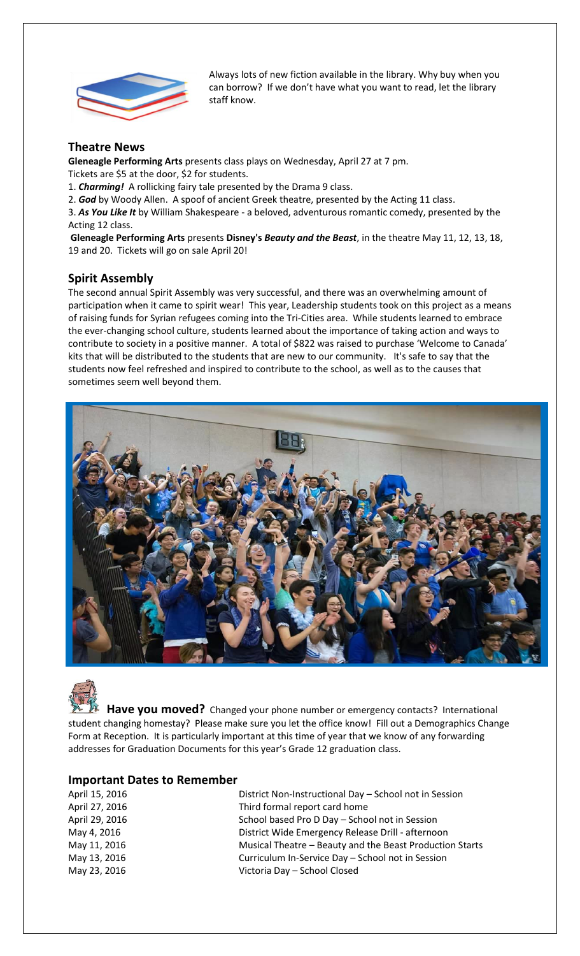

Always lots of new fiction available in the library. Why buy when you can borrow? If we don't have what you want to read, let the library staff know.

# **Theatre News**

**Gleneagle Performing Arts** presents class plays on Wednesday, April 27 at 7 pm.

Tickets are \$5 at the door, \$2 for students.

1. *Charming!* A rollicking fairy tale presented by the Drama 9 class.

2. *God* by Woody Allen. A spoof of ancient Greek theatre, presented by the Acting 11 class.

3. *As You Like It* by William Shakespeare - a beloved, adventurous romantic comedy, presented by the Acting 12 class.

**Gleneagle Performing Arts** presents **Disney's** *Beauty and the Beast*, in the theatre May 11, 12, 13, 18, 19 and 20. Tickets will go on sale April 20!

# **Spirit Assembly**

The second annual Spirit Assembly was very successful, and there was an overwhelming amount of participation when it came to spirit wear! This year, Leadership students took on this project as a means of raising funds for Syrian refugees coming into the Tri-Cities area. While students learned to embrace the ever-changing school culture, students learned about the importance of taking action and ways to contribute to society in a positive manner. A total of \$822 was raised to purchase 'Welcome to Canada' kits that will be distributed to the students that are new to our community. It's safe to say that the students now feel refreshed and inspired to contribute to the school, as well as to the causes that sometimes seem well beyond them.



 **Have you moved?** Changed your phone number or emergency contacts? International student changing homestay? Please make sure you let the office know! Fill out a Demographics Change Form at Reception. It is particularly important at this time of year that we know of any forwarding addresses for Graduation Documents for this year's Grade 12 graduation class.

## **Important Dates to Remember**

| April 15, 2016 | District Non-Instructional Day - School not in Session   |
|----------------|----------------------------------------------------------|
| April 27, 2016 | Third formal report card home                            |
| April 29, 2016 | School based Pro D Day - School not in Session           |
| May 4, 2016    | District Wide Emergency Release Drill - afternoon        |
| May 11, 2016   | Musical Theatre - Beauty and the Beast Production Starts |
| May 13, 2016   | Curriculum In-Service Day - School not in Session        |
| May 23, 2016   | Victoria Day - School Closed                             |